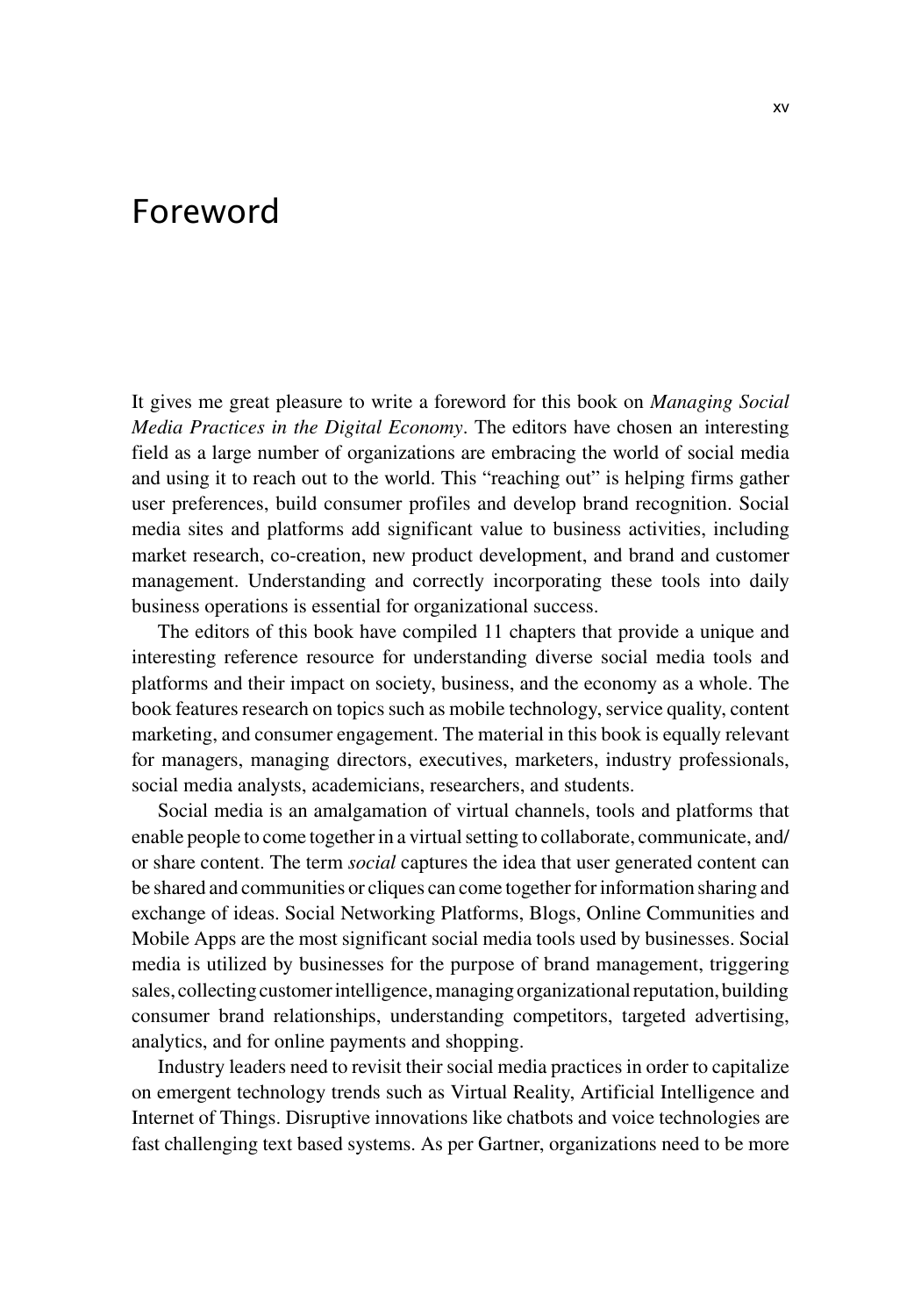## Foreword

It gives me great pleasure to write a foreword for this book on *Managing Social Media Practices in the Digital Economy*. The editors have chosen an interesting field as a large number of organizations are embracing the world of social media and using it to reach out to the world. This "reaching out" is helping firms gather user preferences, build consumer profiles and develop brand recognition. Social media sites and platforms add significant value to business activities, including market research, co-creation, new product development, and brand and customer management. Understanding and correctly incorporating these tools into daily business operations is essential for organizational success.

The editors of this book have compiled 11 chapters that provide a unique and interesting reference resource for understanding diverse social media tools and platforms and their impact on society, business, and the economy as a whole. The book features research on topics such as mobile technology, service quality, content marketing, and consumer engagement. The material in this book is equally relevant for managers, managing directors, executives, marketers, industry professionals, social media analysts, academicians, researchers, and students.

Social media is an amalgamation of virtual channels, tools and platforms that enable people to come together in a virtual setting to collaborate, communicate, and/ or share content. The term *social* captures the idea that user generated content can be shared and communities or cliques can come together for information sharing and exchange of ideas. Social Networking Platforms, Blogs, Online Communities and Mobile Apps are the most significant social media tools used by businesses. Social media is utilized by businesses for the purpose of brand management, triggering sales, collecting customer intelligence, managing organizational reputation, building consumer brand relationships, understanding competitors, targeted advertising, analytics, and for online payments and shopping.

Industry leaders need to revisit their social media practices in order to capitalize on emergent technology trends such as Virtual Reality, Artificial Intelligence and Internet of Things. Disruptive innovations like chatbots and voice technologies are fast challenging text based systems. As per Gartner, organizations need to be more